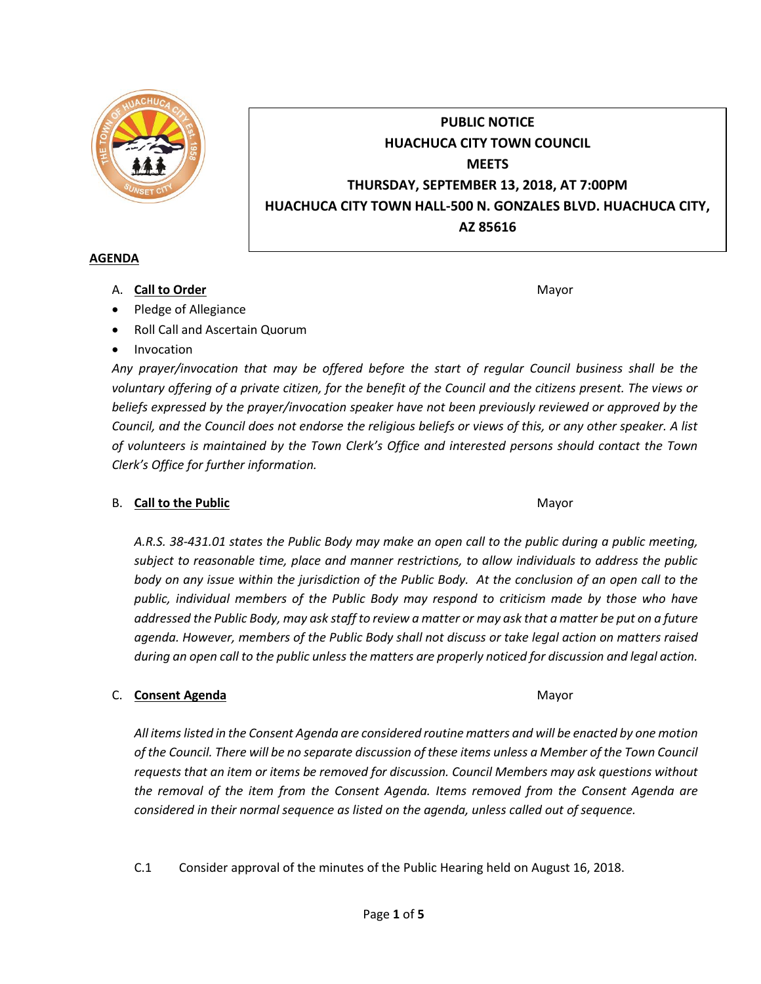

# **PUBLIC NOTICE HUACHUCA CITY TOWN COUNCIL MEETS THURSDAY, SEPTEMBER 13, 2018, AT 7:00PM HUACHUCA CITY TOWN HALL-500 N. GONZALES BLVD. HUACHUCA CITY, AZ 85616**

#### **AGENDA**

A. **Call to Order** Mayor **Mayor** Mayor **Mayor** Mayor **Mayor** 

- Pledge of Allegiance
- Roll Call and Ascertain Quorum
- Invocation

*Any prayer/invocation that may be offered before the start of regular Council business shall be the voluntary offering of a private citizen, for the benefit of the Council and the citizens present. The views or beliefs expressed by the prayer/invocation speaker have not been previously reviewed or approved by the Council, and the Council does not endorse the religious beliefs or views of this, or any other speaker. A list of volunteers is maintained by the Town Clerk's Office and interested persons should contact the Town Clerk's Office for further information.*

# B. **Call to the Public** Mayor **Mayor** Mayor **Mayor** Mayor

*A.R.S. 38-431.01 states the Public Body may make an open call to the public during a public meeting, subject to reasonable time, place and manner restrictions, to allow individuals to address the public body on any issue within the jurisdiction of the Public Body. At the conclusion of an open call to the public, individual members of the Public Body may respond to criticism made by those who have addressed the Public Body, may ask staff to review a matter or may ask that a matter be put on a future agenda. However, members of the Public Body shall not discuss or take legal action on matters raised during an open call to the public unless the matters are properly noticed for discussion and legal action.*

# C. **Consent Agenda** Mayor **C. Consent Agenda** Mayor **Mayor**

*All items listed in the Consent Agenda are considered routine matters and will be enacted by one motion of the Council. There will be no separate discussion of these items unless a Member of the Town Council requests that an item or items be removed for discussion. Council Members may ask questions without the removal of the item from the Consent Agenda. Items removed from the Consent Agenda are considered in their normal sequence as listed on the agenda, unless called out of sequence.*

C.1 Consider approval of the minutes of the Public Hearing held on August 16, 2018.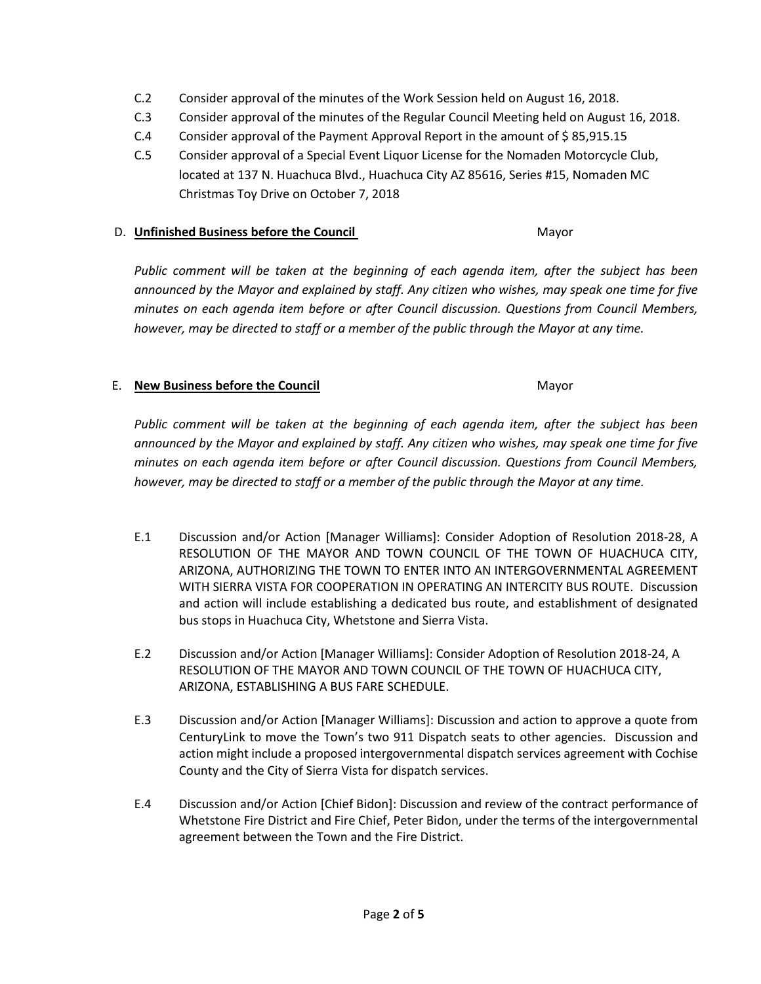- C.2 Consider approval of the minutes of the Work Session held on August 16, 2018.
- C.3 Consider approval of the minutes of the Regular Council Meeting held on August 16, 2018.
- C.4 Consider approval of the Payment Approval Report in the amount of \$ 85,915.15
- C.5 Consider approval of a Special Event Liquor License for the Nomaden Motorcycle Club, located at 137 N. Huachuca Blvd., Huachuca City AZ 85616, Series #15, Nomaden MC Christmas Toy Drive on October 7, 2018

#### D. **Unfinished Business before the Council** Mayor

*Public comment will be taken at the beginning of each agenda item, after the subject has been announced by the Mayor and explained by staff. Any citizen who wishes, may speak one time for five minutes on each agenda item before or after Council discussion. Questions from Council Members, however, may be directed to staff or a member of the public through the Mayor at any time.*

# E. **New Business before the Council** Mayor

*Public comment will be taken at the beginning of each agenda item, after the subject has been announced by the Mayor and explained by staff. Any citizen who wishes, may speak one time for five minutes on each agenda item before or after Council discussion. Questions from Council Members, however, may be directed to staff or a member of the public through the Mayor at any time.*

- E.1 Discussion and/or Action [Manager Williams]: Consider Adoption of Resolution 2018-28, A RESOLUTION OF THE MAYOR AND TOWN COUNCIL OF THE TOWN OF HUACHUCA CITY, ARIZONA, AUTHORIZING THE TOWN TO ENTER INTO AN INTERGOVERNMENTAL AGREEMENT WITH SIERRA VISTA FOR COOPERATION IN OPERATING AN INTERCITY BUS ROUTE. Discussion and action will include establishing a dedicated bus route, and establishment of designated bus stops in Huachuca City, Whetstone and Sierra Vista.
- E.2 Discussion and/or Action [Manager Williams]: Consider Adoption of Resolution 2018-24, A RESOLUTION OF THE MAYOR AND TOWN COUNCIL OF THE TOWN OF HUACHUCA CITY, ARIZONA, ESTABLISHING A BUS FARE SCHEDULE.
- E.3 Discussion and/or Action [Manager Williams]: Discussion and action to approve a quote from CenturyLink to move the Town's two 911 Dispatch seats to other agencies. Discussion and action might include a proposed intergovernmental dispatch services agreement with Cochise County and the City of Sierra Vista for dispatch services.
- E.4 Discussion and/or Action [Chief Bidon]: Discussion and review of the contract performance of Whetstone Fire District and Fire Chief, Peter Bidon, under the terms of the intergovernmental agreement between the Town and the Fire District.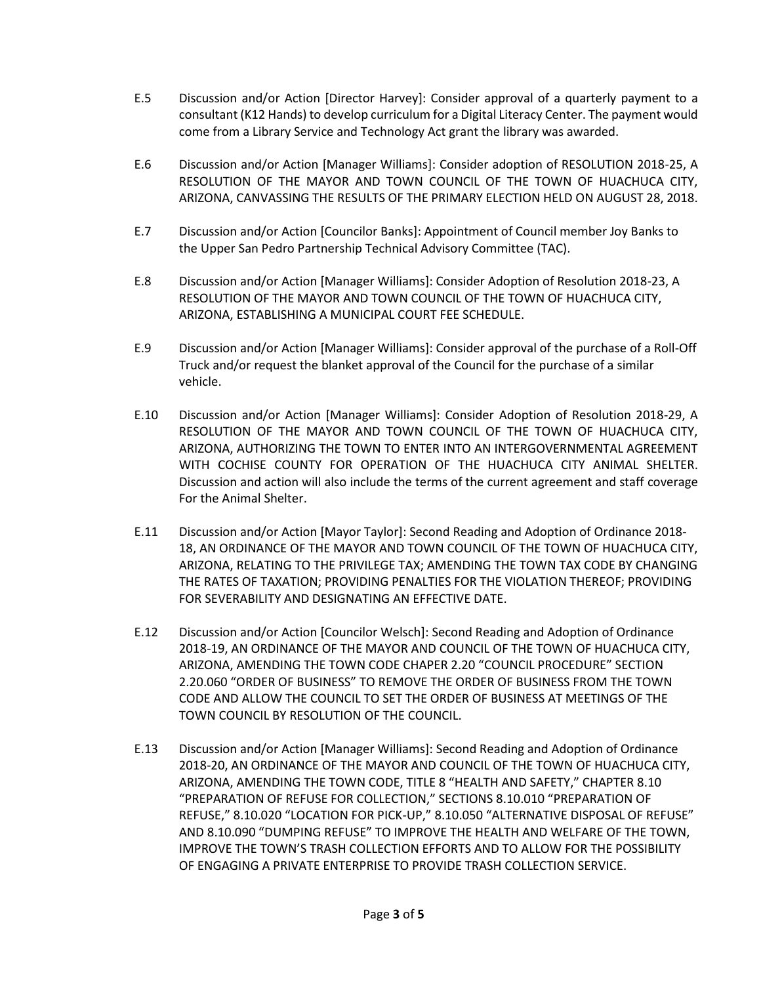- E.5 Discussion and/or Action [Director Harvey]: Consider approval of a quarterly payment to a consultant (K12 Hands) to develop curriculum for a Digital Literacy Center. The payment would come from a Library Service and Technology Act grant the library was awarded.
- E.6 Discussion and/or Action [Manager Williams]: Consider adoption of RESOLUTION 2018-25, A RESOLUTION OF THE MAYOR AND TOWN COUNCIL OF THE TOWN OF HUACHUCA CITY, ARIZONA, CANVASSING THE RESULTS OF THE PRIMARY ELECTION HELD ON AUGUST 28, 2018.
- E.7 Discussion and/or Action [Councilor Banks]: Appointment of Council member Joy Banks to the Upper San Pedro Partnership Technical Advisory Committee (TAC).
- E.8 Discussion and/or Action [Manager Williams]: Consider Adoption of Resolution 2018-23, A RESOLUTION OF THE MAYOR AND TOWN COUNCIL OF THE TOWN OF HUACHUCA CITY, ARIZONA, ESTABLISHING A MUNICIPAL COURT FEE SCHEDULE.
- E.9 Discussion and/or Action [Manager Williams]: Consider approval of the purchase of a Roll-Off Truck and/or request the blanket approval of the Council for the purchase of a similar vehicle.
- E.10 Discussion and/or Action [Manager Williams]: Consider Adoption of Resolution 2018-29, A RESOLUTION OF THE MAYOR AND TOWN COUNCIL OF THE TOWN OF HUACHUCA CITY, ARIZONA, AUTHORIZING THE TOWN TO ENTER INTO AN INTERGOVERNMENTAL AGREEMENT WITH COCHISE COUNTY FOR OPERATION OF THE HUACHUCA CITY ANIMAL SHELTER. Discussion and action will also include the terms of the current agreement and staff coverage For the Animal Shelter.
- E.11 Discussion and/or Action [Mayor Taylor]: Second Reading and Adoption of Ordinance 2018- 18, AN ORDINANCE OF THE MAYOR AND TOWN COUNCIL OF THE TOWN OF HUACHUCA CITY, ARIZONA, RELATING TO THE PRIVILEGE TAX; AMENDING THE TOWN TAX CODE BY CHANGING THE RATES OF TAXATION; PROVIDING PENALTIES FOR THE VIOLATION THEREOF; PROVIDING FOR SEVERABILITY AND DESIGNATING AN EFFECTIVE DATE.
- E.12 Discussion and/or Action [Councilor Welsch]: Second Reading and Adoption of Ordinance 2018-19, AN ORDINANCE OF THE MAYOR AND COUNCIL OF THE TOWN OF HUACHUCA CITY, ARIZONA, AMENDING THE TOWN CODE CHAPER 2.20 "COUNCIL PROCEDURE" SECTION 2.20.060 "ORDER OF BUSINESS" TO REMOVE THE ORDER OF BUSINESS FROM THE TOWN CODE AND ALLOW THE COUNCIL TO SET THE ORDER OF BUSINESS AT MEETINGS OF THE TOWN COUNCIL BY RESOLUTION OF THE COUNCIL.
- E.13 Discussion and/or Action [Manager Williams]: Second Reading and Adoption of Ordinance 2018-20, AN ORDINANCE OF THE MAYOR AND COUNCIL OF THE TOWN OF HUACHUCA CITY, ARIZONA, AMENDING THE TOWN CODE, TITLE 8 "HEALTH AND SAFETY," CHAPTER 8.10 "PREPARATION OF REFUSE FOR COLLECTION," SECTIONS 8.10.010 "PREPARATION OF REFUSE," 8.10.020 "LOCATION FOR PICK-UP," 8.10.050 "ALTERNATIVE DISPOSAL OF REFUSE" AND 8.10.090 "DUMPING REFUSE" TO IMPROVE THE HEALTH AND WELFARE OF THE TOWN, IMPROVE THE TOWN'S TRASH COLLECTION EFFORTS AND TO ALLOW FOR THE POSSIBILITY OF ENGAGING A PRIVATE ENTERPRISE TO PROVIDE TRASH COLLECTION SERVICE.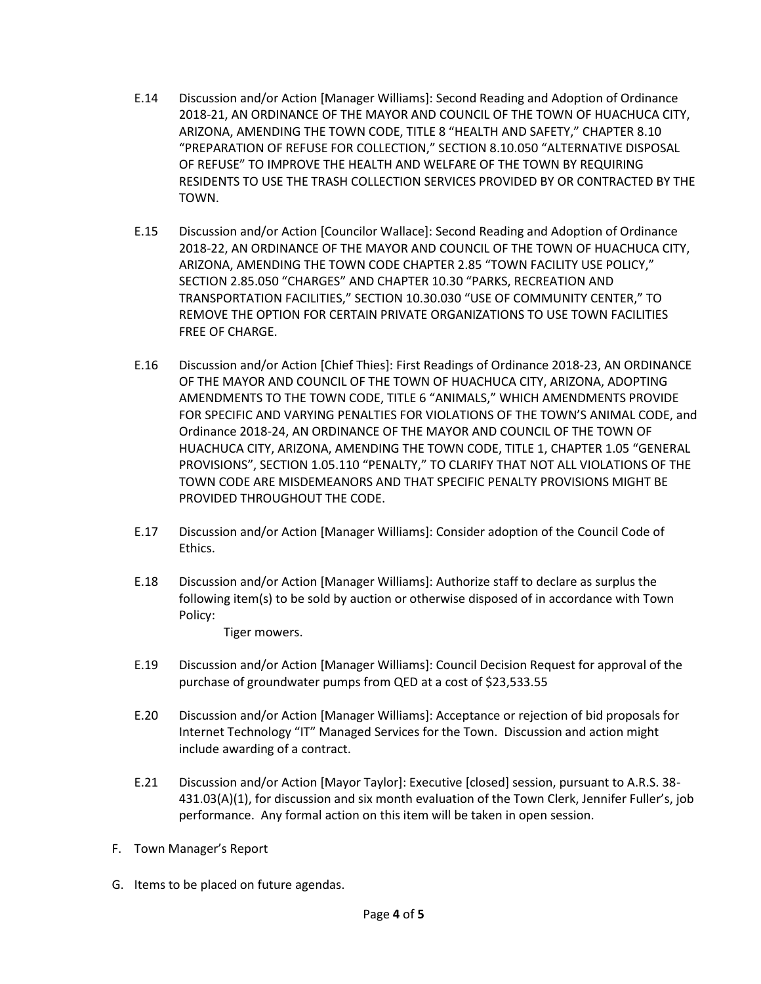- E.14 Discussion and/or Action [Manager Williams]: Second Reading and Adoption of Ordinance 2018-21, AN ORDINANCE OF THE MAYOR AND COUNCIL OF THE TOWN OF HUACHUCA CITY, ARIZONA, AMENDING THE TOWN CODE, TITLE 8 "HEALTH AND SAFETY," CHAPTER 8.10 "PREPARATION OF REFUSE FOR COLLECTION," SECTION 8.10.050 "ALTERNATIVE DISPOSAL OF REFUSE" TO IMPROVE THE HEALTH AND WELFARE OF THE TOWN BY REQUIRING RESIDENTS TO USE THE TRASH COLLECTION SERVICES PROVIDED BY OR CONTRACTED BY THE TOWN.
- E.15 Discussion and/or Action [Councilor Wallace]: Second Reading and Adoption of Ordinance 2018-22, AN ORDINANCE OF THE MAYOR AND COUNCIL OF THE TOWN OF HUACHUCA CITY, ARIZONA, AMENDING THE TOWN CODE CHAPTER 2.85 "TOWN FACILITY USE POLICY," SECTION 2.85.050 "CHARGES" AND CHAPTER 10.30 "PARKS, RECREATION AND TRANSPORTATION FACILITIES," SECTION 10.30.030 "USE OF COMMUNITY CENTER," TO REMOVE THE OPTION FOR CERTAIN PRIVATE ORGANIZATIONS TO USE TOWN FACILITIES FREE OF CHARGE.
- E.16 Discussion and/or Action [Chief Thies]: First Readings of Ordinance 2018-23, AN ORDINANCE OF THE MAYOR AND COUNCIL OF THE TOWN OF HUACHUCA CITY, ARIZONA, ADOPTING AMENDMENTS TO THE TOWN CODE, TITLE 6 "ANIMALS," WHICH AMENDMENTS PROVIDE FOR SPECIFIC AND VARYING PENALTIES FOR VIOLATIONS OF THE TOWN'S ANIMAL CODE, and Ordinance 2018-24, AN ORDINANCE OF THE MAYOR AND COUNCIL OF THE TOWN OF HUACHUCA CITY, ARIZONA, AMENDING THE TOWN CODE, TITLE 1, CHAPTER 1.05 "GENERAL PROVISIONS", SECTION 1.05.110 "PENALTY," TO CLARIFY THAT NOT ALL VIOLATIONS OF THE TOWN CODE ARE MISDEMEANORS AND THAT SPECIFIC PENALTY PROVISIONS MIGHT BE PROVIDED THROUGHOUT THE CODE.
- E.17 Discussion and/or Action [Manager Williams]: Consider adoption of the Council Code of Ethics.
- E.18 Discussion and/or Action [Manager Williams]: Authorize staff to declare as surplus the following item(s) to be sold by auction or otherwise disposed of in accordance with Town Policy:

Tiger mowers.

- E.19 Discussion and/or Action [Manager Williams]: Council Decision Request for approval of the purchase of groundwater pumps from QED at a cost of \$23,533.55
- E.20 Discussion and/or Action [Manager Williams]: Acceptance or rejection of bid proposals for Internet Technology "IT" Managed Services for the Town. Discussion and action might include awarding of a contract.
- E.21 Discussion and/or Action [Mayor Taylor]: Executive [closed] session, pursuant to A.R.S. 38- 431.03(A)(1), for discussion and six month evaluation of the Town Clerk, Jennifer Fuller's, job performance. Any formal action on this item will be taken in open session.
- F. Town Manager's Report
- G. Items to be placed on future agendas.